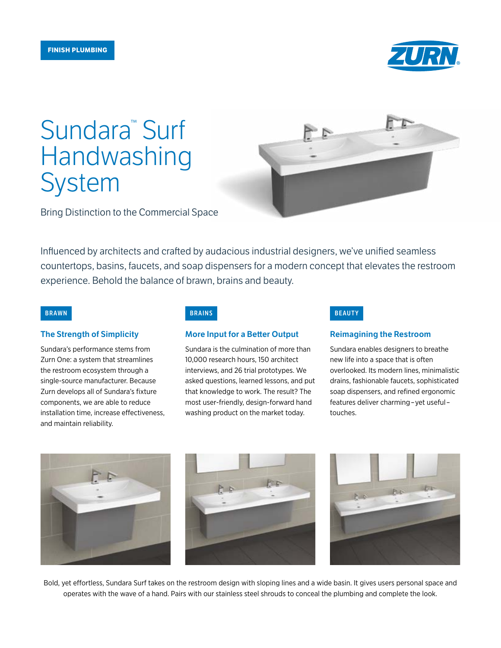

# Sundara<sup>™</sup> Surf Handwashing System



Bring Distinction to the Commercial Space

Influenced by architects and crafted by audacious industrial designers, we've unified seamless countertops, basins, faucets, and soap dispensers for a modern concept that elevates the restroom experience. Behold the balance of brawn, brains and beauty.

### The Strength of Simplicity

Sundara's performance stems from Zurn One: a system that streamlines the restroom ecosystem through a single-source manufacturer. Because Zurn develops all of Sundara's fixture components, we are able to reduce installation time, increase effectiveness, and maintain reliability.

### More Input for a Better Output

Sundara is the culmination of more than 10,000 research hours, 150 architect interviews, and 26 trial prototypes. We asked questions, learned lessons, and put that knowledge to work. The result? The most user-friendly, design-forward hand washing product on the market today.

### **BRAWN BRAINS BEAUTY**

### Reimagining the Restroom

Sundara enables designers to breathe new life into a space that is often overlooked. Its modern lines, minimalistic drains, fashionable faucets, sophisticated soap dispensers, and refined ergonomic features deliver charming–yet useful– touches.



Bold, yet effortless, Sundara Surf takes on the restroom design with sloping lines and a wide basin. It gives users personal space and operates with the wave of a hand. Pairs with our stainless steel shrouds to conceal the plumbing and complete the look.